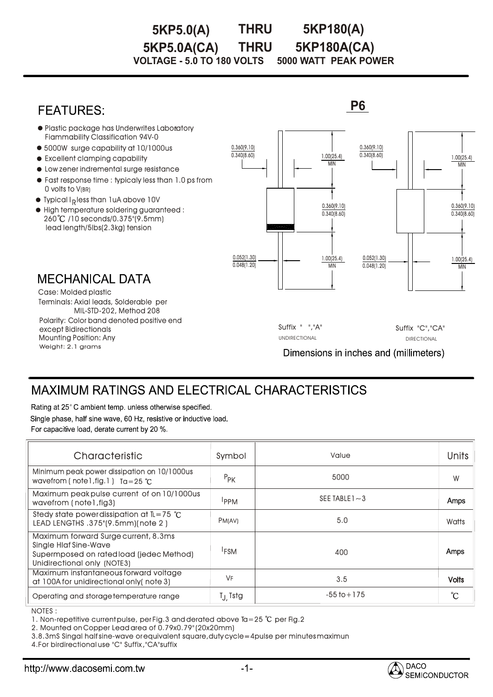#### **THRU VOLTAGE - 5.0 TO 180 VOLTS 5000 WATT PEAK POWER 5KP5.0(A) THRU 5KP180(A) 5KP5.0A(CA) 5KP180A(CA)**

**P6 FEATURES:** Plastic package has Underwrites Laboratory Fiammability Classification 94V-0 0.360(9.10) 0.360(9.10)  $\bullet$  5000W surge capability at 10/1000us 0.340(8.60) 1.00(25.4) 0.340(8.60) 1.00(25.4)  $\bullet$  Excellent clamping capability MIN MIN Low zener indremental surge resistance Fast response time : typicaly less than 1.0 ps from  $\,$ 0 volts to V(BR)  $\bullet$  Typical I<sub>R</sub> less than 1uA above 10V 0.360(9.10) 0.360(9.10)  $\bullet$  High temperature soldering guaranteed :  $0.340(8.60)$  $0.340(8.60)$ 260 /10 seconds/0.375"(9.5mm) lead length/5lbs(2.3kg) tension 0.052(1.30) 1.00(25.4) 0.052(1.30) 1.00(25.4)  $0.048(1.20)$  $0.048(1.20)$ MIN MIN **MECHANICAL DATA** Case: Molded plastic Terminals: Axial leads, Solderable per MIL-STD-202, Method 208 Polarity: Color band denoted positive end Suffix " ","A" Suffix "C","CA" except Bidirectionals Mounting Position: Any UNDIRECTIONAL DIRECTIONAL DIRECTIONAL Weight: 2.1 grams Dimensions in inches and (millimeters)

# **MAXIMUM RATINGS AND ELECTRICAL CHARACTERISTICS**

Rating at 25°C ambient temp. unless otherwise specified.

Single phase, half sine wave, 60 Hz, resistive or inductive load. For capacitive load, derate current by 20 %.

| Characteristic                                                                                                                                 | Symbol              | Value             | Units        |
|------------------------------------------------------------------------------------------------------------------------------------------------|---------------------|-------------------|--------------|
| Minimum peak power dissipation on 10/1000us<br>wavefrom (note 1, fig. 1) $Ta = 25$ °C                                                          | $P_{PK}$            | 5000              | W            |
| Maximum peak pulse current of on 10/1000us<br>wavefrom (note1, fig3)                                                                           | <b>IPPM</b>         | SEE TABLE $1 - 3$ | Amps         |
| Stedy state power dissipation at $\mathbb{L} = 75$ °C<br>LEAD LENGTHS .375"(9.5mm)(note 2)                                                     | PM(AV)              | 5.0               | Watts        |
| Maximum forward Surge current, 8.3ms<br><b>Single Hlaf Sine-Wave</b><br>Supermposed on ratedload (jedec Method)<br>Unidirectional only (NOTE3) | <sup>I</sup> FSM    | 400               | Amps         |
| Maximum instantaneous forward voltage<br>at 100A for unidirectional only (note 3)                                                              | VF                  | 3.5               | <b>Volts</b> |
| Operating and storage temperature range                                                                                                        | T <sub>J</sub> Tstg | $-55$ to $+175$   | °C           |

NOTES : :

1. Non-repetitive current pulse, per Fig.3 and derated above Ta=25  $°C$  per Fig.2

2. Mounted on Copper Lead area of 0.79x0.79" (20x20mm)

3.8.3mS Singal half sine-wave or equivalent square,duty cycle=4pulse per minutes maximun

4.For birdirectional use "C" Suffix ,"CA"suffix

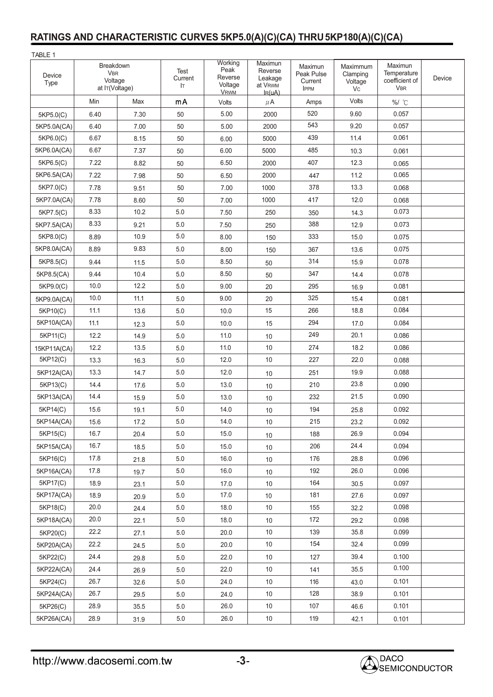| TABLE 1        |                                                      |      |                       |                                                                 |                                                       |                                                 |                                              |                                                        |        |
|----------------|------------------------------------------------------|------|-----------------------|-----------------------------------------------------------------|-------------------------------------------------------|-------------------------------------------------|----------------------------------------------|--------------------------------------------------------|--------|
| Device<br>Type | Breakdown<br><b>VBR</b><br>Voltage<br>at IT(Voltage) |      | Test<br>Current<br>Iт | Working<br>Peak<br>Reverse<br>Voltage<br><b>V<sub>RWM</sub></b> | Maximun<br>Reverse<br>Leakage<br>at VRWM<br>$I_R(uA)$ | Maximun<br>Peak Pulse<br>Current<br><b>IPPM</b> | Maximmum<br>Clamping<br>Voltage<br><b>Vc</b> | Maximun<br>Temperature<br>coefficient of<br><b>VBR</b> | Device |
|                | Min                                                  | Max  | mA                    | Volts                                                           | $\mu$ A                                               | Amps                                            | Volts                                        | %/ °C                                                  |        |
| 5KP5.0(C)      | 6.40                                                 | 7.30 | 50                    | 5.00                                                            | 2000                                                  | 520                                             | 9.60                                         | 0.057                                                  |        |
| 5KP5.0A(CA)    | 6.40                                                 | 7.00 | 50                    | 5.00                                                            | 2000                                                  | 543                                             | 9.20                                         | 0.057                                                  |        |
| 5KP6.0(C)      | 6.67                                                 | 8.15 | 50                    | 6.00                                                            | 5000                                                  | 439                                             | 11.4                                         | 0.061                                                  |        |
| 5KP6.0A(CA)    | 6.67                                                 | 7.37 | 50                    | 6.00                                                            | 5000                                                  | 485                                             | 10.3                                         | 0.061                                                  |        |
| 5KP6.5(C)      | 7.22                                                 | 8.82 | 50                    | 6.50                                                            | 2000                                                  | 407                                             | 12.3                                         | 0.065                                                  |        |
| 5KP6.5A(CA)    | 7.22                                                 | 7.98 | 50                    | 6.50                                                            | 2000                                                  | 447                                             | 11.2                                         | 0.065                                                  |        |
| 5KP7.0(C)      | 7.78                                                 | 9.51 | 50                    | 7.00                                                            | 1000                                                  | 378                                             | 13.3                                         | 0.068                                                  |        |
| 5KP7.0A(CA)    | 7.78                                                 | 8.60 | 50                    | 7.00                                                            | 1000                                                  | 417                                             | 12.0                                         | 0.068                                                  |        |
| 5KP7.5(C)      | 8.33                                                 | 10.2 | 5.0                   | 7.50                                                            | 250                                                   | 350                                             | 14.3                                         | 0.073                                                  |        |
| 5KP7.5A(CA)    | 8.33                                                 | 9.21 | 5.0                   | 7.50                                                            | 250                                                   | 388                                             | 12.9                                         | 0.073                                                  |        |
| 5KP8.0(C)      | 8.89                                                 | 10.9 | 5.0                   | 8.00                                                            | 150                                                   | 333                                             | 15.0                                         | 0.075                                                  |        |
| 5KP8.0A(CA)    | 8.89                                                 | 9.83 | 5.0                   | 8.00                                                            | 150                                                   | 367                                             | 13.6                                         | 0.075                                                  |        |
| 5KP8.5(C)      | 9.44                                                 | 11.5 | 5.0                   | 8.50                                                            | 50                                                    | 314                                             | 15.9                                         | 0.078                                                  |        |
| 5KP8.5(CA)     | 9.44                                                 | 10.4 | 5.0                   | 8.50                                                            | 50                                                    | 347                                             | 14.4                                         | 0.078                                                  |        |
| 5KP9.0(C)      | 10.0                                                 | 12.2 | 5.0                   | 9.00                                                            | 20                                                    | 295                                             | 16.9                                         | 0.081                                                  |        |
| 5KP9.0A(CA)    | 10.0                                                 | 11.1 | 5.0                   | 9.00                                                            | 20                                                    | 325                                             | 15.4                                         | 0.081                                                  |        |
| 5KP10(C)       | 11.1                                                 | 13.6 | 5.0                   | 10.0                                                            | 15                                                    | 266                                             | 18.8                                         | 0.084                                                  |        |
| 5KP10A(CA)     | 11.1                                                 | 12.3 | 5.0                   | 10.0                                                            | 15                                                    | 294                                             | 17.0                                         | 0.084                                                  |        |
| 5KP11(C)       | 12.2                                                 | 14.9 | 5.0                   | 11.0                                                            | 10                                                    | 249                                             | 20.1                                         | 0.086                                                  |        |
| 15KP11A(CA)    | 12.2                                                 | 13.5 | 5.0                   | 11.0                                                            | 10                                                    | 274                                             | 18.2                                         | 0.086                                                  |        |
| 5KP12(C)       | 13.3                                                 | 16.3 | 5.0                   | 12.0                                                            | 10                                                    | 227                                             | 22.0                                         | 0.088                                                  |        |
| 5KP12A(CA)     | 13.3                                                 | 14.7 | 5.0                   | 12.0                                                            | 10                                                    | 251                                             | 19.9                                         | 0.088                                                  |        |
| 5KP13(C)       | 14.4                                                 | 17.6 | 5.0                   | 13.0                                                            | 10                                                    | 210                                             | 23.8                                         | 0.090                                                  |        |
| 5KP13A(CA)     | 14.4                                                 | 15.9 | 5.0                   | 13.0                                                            | 10                                                    | 232                                             | 21.5                                         | 0.090                                                  |        |
| 5KP14(C)       | 15.6                                                 | 19.1 | 5.0                   | 14.0                                                            | 10                                                    | 194                                             | 25.8                                         | 0.092                                                  |        |
| 5KP14A(CA)     | 15.6                                                 | 17.2 | $5.0\,$               | 14.0                                                            | 10                                                    | 215                                             | 23.2                                         | 0.092                                                  |        |
| 5KP15(C)       | 16.7                                                 | 20.4 | 5.0                   | 15.0                                                            | 10 <sup>°</sup>                                       | 188                                             | 26.9                                         | 0.094                                                  |        |
| 5KP15A(CA)     | 16.7                                                 | 18.5 | 5.0                   | 15.0                                                            | 10                                                    | 206                                             | 24.4                                         | 0.094                                                  |        |
| 5KP16(C)       | 17.8                                                 | 21.8 | 5.0                   | 16.0                                                            | 10                                                    | 176                                             | 28.8                                         | 0.096                                                  |        |
| 5KP16A(CA)     | 17.8                                                 | 19.7 | 5.0                   | 16.0                                                            | 10                                                    | 192                                             | 26.0                                         | 0.096                                                  |        |
| 5KP17(C)       | 18.9                                                 | 23.1 | 5.0                   | 17.0                                                            | 10                                                    | 164                                             | 30.5                                         | 0.097                                                  |        |
| 5KP17A(CA)     | 18.9                                                 | 20.9 | 5.0                   | 17.0                                                            | 10                                                    | 181                                             | 27.6                                         | 0.097                                                  |        |
| 5KP18(C)       | 20.0                                                 | 24.4 | 5.0                   | 18.0                                                            | 10                                                    | 155                                             | 32.2                                         | 0.098                                                  |        |
| 5KP18A(CA)     | 20.0                                                 | 22.1 | 5.0                   | 18.0                                                            | 10                                                    | 172                                             | 29.2                                         | 0.098                                                  |        |
| 5KP20(C)       | 22.2                                                 | 27.1 | 5.0                   | 20.0                                                            | 10                                                    | 139                                             | 35.8                                         | 0.099                                                  |        |
| 5KP20A(CA)     | 22.2                                                 | 24.5 | 5.0                   | 20.0                                                            | 10                                                    | 154                                             | 32.4                                         | 0.099                                                  |        |
| 5KP22(C)       | 24.4                                                 | 29.8 | 5.0                   | 22.0                                                            | 10                                                    | 127                                             | 39.4                                         | 0.100                                                  |        |
| 5KP22A(CA)     | 24.4                                                 | 26.9 | $5.0\,$               | 22.0                                                            | 10                                                    | 141                                             | 35.5                                         | 0.100                                                  |        |
| 5KP24(C)       | 26.7                                                 | 32.6 | 5.0                   | 24.0                                                            | 10                                                    | 116                                             | 43.0                                         | 0.101                                                  |        |
| 5KP24A(CA)     | 26.7                                                 | 29.5 | 5.0                   | 24.0                                                            | 10                                                    | 128                                             | 38.9                                         | 0.101                                                  |        |
| 5KP26(C)       | 28.9                                                 | 35.5 | 5.0                   | 26.0                                                            | 10                                                    | 107                                             | 46.6                                         | 0.101                                                  |        |
| 5KP26A(CA)     | 28.9                                                 | 31.9 | $5.0\,$               | 26.0                                                            | $10$                                                  | 119                                             | 42.1                                         | 0.101                                                  |        |

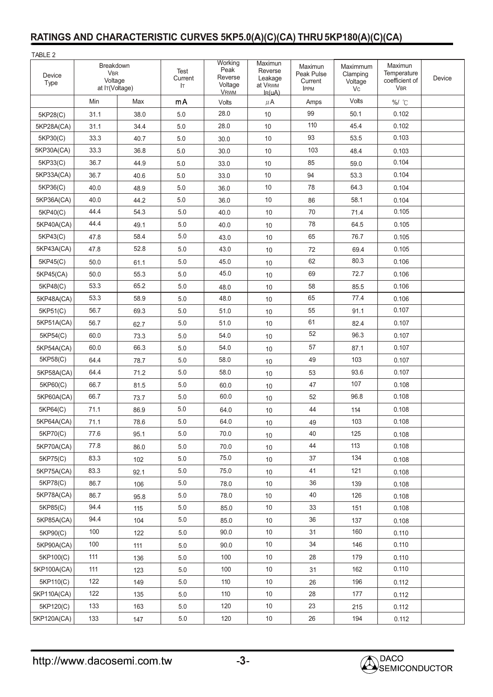| TABLE 2        |                                                      |       |                       |                                                                 |                                                       |                                                 |                                       |                                                        |        |
|----------------|------------------------------------------------------|-------|-----------------------|-----------------------------------------------------------------|-------------------------------------------------------|-------------------------------------------------|---------------------------------------|--------------------------------------------------------|--------|
| Device<br>Type | Breakdown<br><b>VBR</b><br>Voltage<br>at IT(Voltage) |       | Test<br>Current<br>Iт | Working<br>Peak<br>Reverse<br>Voltage<br><b>V<sub>RWM</sub></b> | Maximun<br>Reverse<br>Leakage<br>at VRWM<br>$I_R(uA)$ | Maximun<br>Peak Pulse<br>Current<br><b>IPPM</b> | Maximmum<br>Clamping<br>Voltage<br>Vc | Maximun<br>Temperature<br>coefficient of<br><b>VBR</b> | Device |
|                | Min                                                  | Max   | mA                    | Volts                                                           | $\mu$ A                                               | Amps                                            | Volts                                 | %/ °C                                                  |        |
| 5KP28(C)       | 31.1                                                 | 38.0  | 5.0                   | 28.0                                                            | 10                                                    | 99                                              | 50.1                                  | 0.102                                                  |        |
| 5KP28A(CA)     | 31.1                                                 | 34.4  | 5.0                   | 28.0                                                            | 10                                                    | 110                                             | 45.4                                  | 0.102                                                  |        |
| 5KP30(C)       | 33.3                                                 | 40.7  | 5.0                   | 30.0                                                            | 10                                                    | 93                                              | 53.5                                  | 0.103                                                  |        |
| 5KP30A(CA)     | 33.3                                                 | 36.8  | 5.0                   | 30.0                                                            | 10                                                    | 103                                             | 48.4                                  | 0.103                                                  |        |
| 5KP33(C)       | 36.7                                                 | 44.9  | 5.0                   | 33.0                                                            | 10                                                    | 85                                              | 59.0                                  | 0.104                                                  |        |
| 5KP33A(CA)     | 36.7                                                 | 40.6  | 5.0                   | 33.0                                                            | 10                                                    | 94                                              | 53.3                                  | 0.104                                                  |        |
| 5KP36(C)       | 40.0                                                 | 48.9  | 5.0                   | 36.0                                                            | 10                                                    | 78                                              | 64.3                                  | 0.104                                                  |        |
| 5KP36A(CA)     | 40.0                                                 | 44.2  | 5.0                   | 36.0                                                            | 10                                                    | 86                                              | 58.1                                  | 0.104                                                  |        |
| 5KP40(C)       | 44.4                                                 | 54.3  | 5.0                   | 40.0                                                            | 10                                                    | 70                                              | 71.4                                  | 0.105                                                  |        |
| 5KP40A(CA)     | 44.4                                                 | 49.1  | 5.0                   | 40.0                                                            | 10                                                    | 78                                              | 64.5                                  | 0.105                                                  |        |
| 5KP43(C)       | 47.8                                                 | 58.4  | 5.0                   | 43.0                                                            | 10                                                    | 65                                              | 76.7                                  | 0.105                                                  |        |
| 5KP43A(CA)     | 47.8                                                 | 52.8  | 5.0                   | 43.0                                                            | 10                                                    | 72                                              | 69.4                                  | 0.105                                                  |        |
| 5KP45(C)       | 50.0                                                 | 61.1  | 5.0                   | 45.0                                                            | 10                                                    | 62                                              | 80.3                                  | 0.106                                                  |        |
| 5KP45(CA)      | 50.0                                                 | 55.3  | 5.0                   | 45.0                                                            | 10                                                    | 69                                              | 72.7                                  | 0.106                                                  |        |
| 5KP48(C)       | 53.3                                                 | 65.2  | 5.0                   | 48.0                                                            | 10                                                    | 58                                              | 85.5                                  | 0.106                                                  |        |
| 5KP48A(CA)     | 53.3                                                 | 58.9  | 5.0                   | 48.0                                                            | 10                                                    | 65                                              | 77.4                                  | 0.106                                                  |        |
| 5KP51(C)       | 56.7                                                 | 69.3  | 5.0                   | 51.0                                                            | 10                                                    | 55                                              | 91.1                                  | 0.107                                                  |        |
| 5KP51A(CA)     | 56.7                                                 | 62.7  | 5.0                   | 51.0                                                            | 10                                                    | 61                                              | 82.4                                  | 0.107                                                  |        |
| 5KP54(C)       | 60.0                                                 | 73.3  | 5.0                   | 54.0                                                            | 10                                                    | 52                                              | 96.3                                  | 0.107                                                  |        |
| 5KP54A(CA)     | 60.0                                                 | 66.3  | 5.0                   | 54.0                                                            | 10                                                    | 57                                              | 87.1                                  | 0.107                                                  |        |
| 5KP58(C)       | 64.4                                                 | 78.7  | 5.0                   | 58.0                                                            | 10                                                    | 49                                              | 103                                   | 0.107                                                  |        |
| 5KP58A(CA)     | 64.4                                                 | 71.2  | 5.0                   | 58.0                                                            | 10                                                    | 53                                              | 93.6                                  | 0.107                                                  |        |
| 5KP60(C)       | 66.7                                                 | 81.5  | 5.0                   | 60.0                                                            | 10                                                    | 47                                              | 107                                   | 0.108                                                  |        |
| 5KP60A(CA)     | 66.7                                                 | 73.7  | $5.0\,$               | 60.0                                                            | 10                                                    | 52                                              | 96.8                                  | 0.108                                                  |        |
| 5KP64(C)       | 71.1                                                 | 86.9  | $5.0$                 | 64.0                                                            | 10                                                    | 44                                              | 114                                   | 0.108                                                  |        |
| 5KP64A(CA)     | 71.1                                                 | 78.6  | $5.0\,$               | 64.0                                                            | 10                                                    | 49                                              | 103                                   | 0.108                                                  |        |
| 5KP70(C)       | 77.6                                                 | 95.1  | 5.0                   | 70.0                                                            | 10                                                    | 40                                              | 125                                   | 0.108                                                  |        |
| 5KP70A(CA)     | 77.8                                                 | 86.0  | 5.0                   | 70.0                                                            | $10$                                                  | 44                                              | 113                                   | 0.108                                                  |        |
| 5KP75(C)       | 83.3                                                 | 102   | $5.0\,$               | 75.0                                                            | $10$                                                  | 37                                              | 134                                   | 0.108                                                  |        |
| 5KP75A(CA)     | 83.3                                                 | 92.1  | 5.0                   | 75.0                                                            | 10                                                    | 41                                              | 121                                   | 0.108                                                  |        |
| 5KP78(C)       | 86.7                                                 | 106   | $5.0\,$               | 78.0                                                            | 10                                                    | 36                                              | 139                                   | 0.108                                                  |        |
| 5KP78A(CA)     | 86.7                                                 | 95.8  | $5.0\,$               | 78.0                                                            | 10                                                    | 40                                              | 126                                   | 0.108                                                  |        |
| 5KP85(C)       | 94.4                                                 | 115   | 5.0                   | 85.0                                                            | 10                                                    | 33                                              | 151                                   | 0.108                                                  |        |
| 5KP85A(CA)     | 94.4                                                 | 104   | 5.0                   | 85.0                                                            | $10$                                                  | 36                                              | 137                                   | 0.108                                                  |        |
| 5KP90(C)       | 100                                                  | 122   | 5.0                   | 90.0                                                            | 10                                                    | 31                                              | 160                                   | 0.110                                                  |        |
| 5KP90A(CA)     | 100                                                  | 111   | 5.0                   | 90.0                                                            | 10                                                    | 34                                              | 146                                   | 0.110                                                  |        |
| 5KP100(C)      | 111                                                  | 136   | 5.0                   | 100                                                             | 10                                                    | 28                                              | 179                                   | 0.110                                                  |        |
| 5KP100A(CA)    | 111                                                  | 123   | 5.0                   | 100                                                             | 10                                                    | 31                                              | 162                                   | 0.110                                                  |        |
| 5KP110(C)      | 122                                                  | 149   | 5.0                   | 110                                                             | 10                                                    | 26                                              | 196                                   | 0.112                                                  |        |
| 5KP110A(CA)    | 122                                                  | 135   | $5.0\,$               | 110                                                             | 10                                                    | 28                                              | 177                                   | 0.112                                                  |        |
| 5KP120(C)      | 133                                                  | 163   | 5.0                   | 120                                                             | 10                                                    | 23                                              | 215                                   | 0.112                                                  |        |
| 5KP120A(CA)    | 133                                                  | $147$ | $5.0\,$               | 120                                                             | $10$                                                  | 26                                              | 194                                   | 0.112                                                  |        |

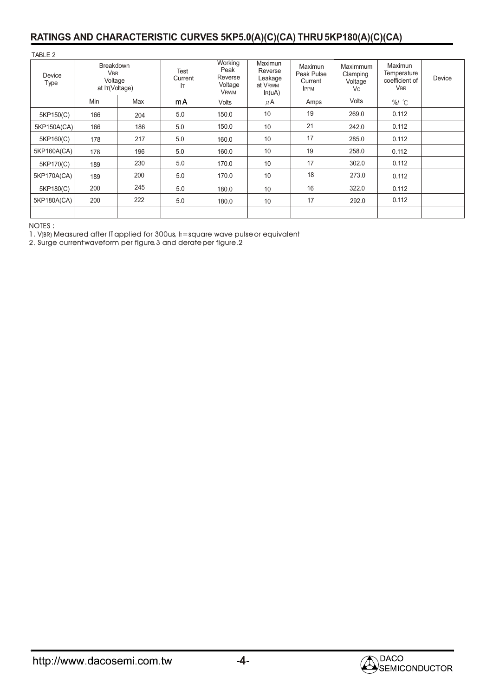| TABLE 2        |                                                                        |     |                       |                                                      |                                                         |                                                 |                                        |                                                        |        |
|----------------|------------------------------------------------------------------------|-----|-----------------------|------------------------------------------------------|---------------------------------------------------------|-------------------------------------------------|----------------------------------------|--------------------------------------------------------|--------|
| Device<br>Type | <b>Breakdown</b><br><b>V<sub>BR</sub></b><br>Voltage<br>at IT(Voltage) |     | Test<br>Current<br>Iт | Working<br>Peak<br>Reverse<br>Voltage<br><b>VRWM</b> | Maximun<br>Reverse<br>Leakage<br>at VRWM<br>$I_{R}(uA)$ | Maximun<br>Peak Pulse<br>Current<br><b>IPPM</b> | Maximmum<br>Clamping<br>Voltage<br>Vc. | Maximun<br>Temperature<br>coefficient of<br><b>VBR</b> | Device |
|                | Min                                                                    | Max | mA                    | Volts                                                | $\mu$ A                                                 | Amps                                            | Volts                                  | $%/$ $^{\circ}$                                        |        |
| 5KP150(C)      | 166                                                                    | 204 | 5.0                   | 150.0                                                | 10                                                      | 19                                              | 269.0                                  | 0.112                                                  |        |
| 5KP150A(CA)    | 166                                                                    | 186 | 5.0                   | 150.0                                                | 10                                                      | 21                                              | 242.0                                  | 0.112                                                  |        |
| 5KP160(C)      | 178                                                                    | 217 | 5.0                   | 160.0                                                | 10                                                      | 17                                              | 285.0                                  | 0.112                                                  |        |
| 5KP160A(CA)    | 178                                                                    | 196 | 5.0                   | 160.0                                                | 10                                                      | 19                                              | 258.0                                  | 0.112                                                  |        |
| 5KP170(C)      | 189                                                                    | 230 | 5.0                   | 170.0                                                | 10                                                      | 17                                              | 302.0                                  | 0.112                                                  |        |
| 5KP170A(CA)    | 189                                                                    | 200 | 5.0                   | 170.0                                                | 10                                                      | 18                                              | 273.0                                  | 0.112                                                  |        |
| 5KP180(C)      | 200                                                                    | 245 | 5.0                   | 180.0                                                | 10                                                      | 16                                              | 322.0                                  | 0.112                                                  |        |
| 5KP180A(CA)    | 200                                                                    | 222 | 5.0                   | 180.0                                                | 10                                                      | 17                                              | 292.0                                  | 0.112                                                  |        |
|                |                                                                        |     |                       |                                                      |                                                         |                                                 |                                        |                                                        |        |

NOTES : :

1. V(BR) Measured after IT applied for 300us,  $\text{I}r = \text{square}$  wave pulse or equivalent V(BR) Measured after ITapplied for 300us, Ir

2. Surge current waveform per figure.3 and derate per figure.2